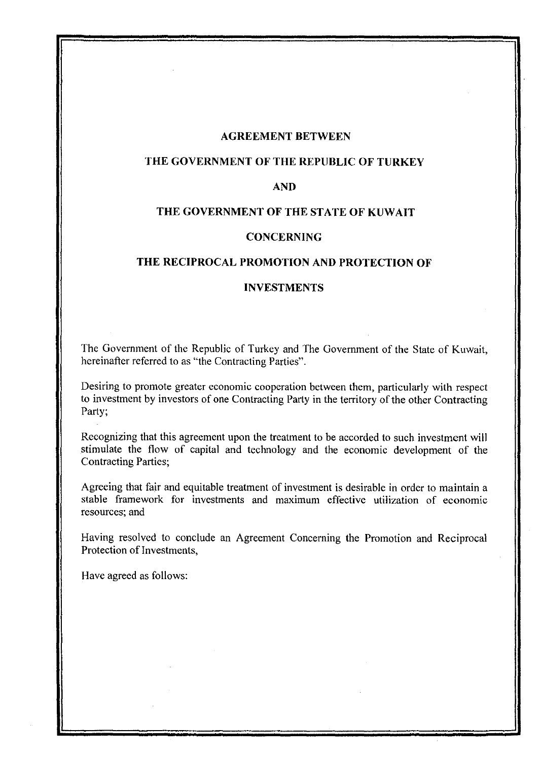#### **AGREEMENT BETWEEN**

# **THE GOVERNMENT OF THE REPUBLIC OF TURKEY**

#### **AND**

#### **THE GOVERNMENT OF THE STATE OF KUWAIT**

#### **CONCERNING**

#### **THE RECIPROCAL PROMOTION AND PROTECTION OF**

#### **INVESTMENTS**

The Government of the Republic of Turkey and The Government of the State of Kuwait, hereinafter referred to as "the Contracting Parties".

Desiring to promote greater economic cooperation between them, particularly with respect to investment by investors of one Contracting Party in the territory of the other Contracting Party;

Recognizing that this agreement upon the treatment to be accorded to such investment will stimulate the flow of capital and technology and the economic development of the Contracting Parties;

Agreeing that fair and equitable treatment of investment is desirable in order to maintain a stable framework for investments and maximum effective utilization of economic resources; and

Having resolved to conclude an Agreement Concerning the Promotion and Reciprocal Protection of Investments,

Have agreed as follows: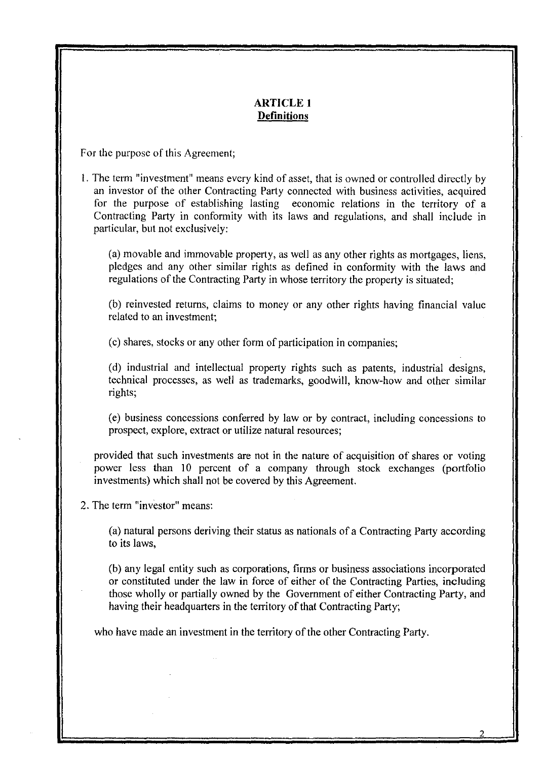#### **ARTICLE 1 Definitions**

For the purpose of this Agreement;

# I. The term "investment" means every kind of asset, that is owned or controlled directly by an investor of the other Contracting Party connected with business activities, acquired for the purpose of establishing lasting economic relations in the territory of a Contracting Party in conformity with its laws and regulations, and shall include in particular, but not exclusively:

(a) movable and immovable property, as well as any other rights as mortgages, liens, pledges and any other similar rights as defined in conformity with the laws and regulations of the Contracting Party in whose territory the property is situated;

(b) reinvested returns, claims to money or any other rights having financial value related to an investment;

(c) shares, stocks or any other form of participation in companies;

(d) industrial and intellectual property rights such as patents, industrial designs, technical processes, as well as trademarks, goodwill, know-how and other similar rights;

(e) business concessions conferred by law or by contract, including concessions to prospect, explore, extract or utilize natural resources;

provided that such investments are not in the nature of acquisition of shares or voting power less than 10 percent of a company through stock exchanges (portfolio investments) which shall not be covered by this Agreement.

2. The term "investor" means:

(a) natural persons deriving their status as nationals of a Contracting Party according to its laws,

(b) any legal entity such as corporations, firms or business associations incorporated or constituted under the law **in** force of either of the Contracting Parties, including those wholly or partially owned by the Government of either Contracting Party, and having their headquarters in the territory of that Contracting Party;

who have made an investment in the territory of the other Contracting Party.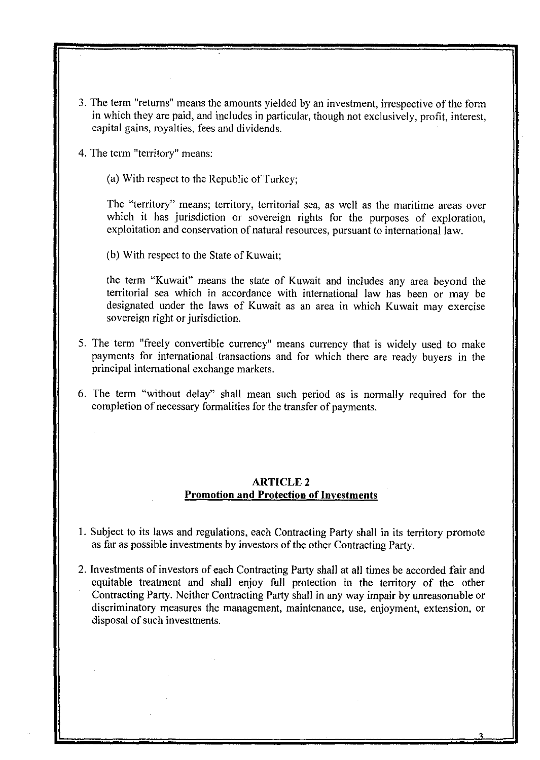- 3. The term "returns" means the amounts yielded by an investment, irrespective of the form in which they are paid, and includes in particular, though not exclusively, profit, interest, capital gains, royalties, fees and dividends.
- 4. The term "territory" means:
	- (a) With respect to the Republic of Turkey;

The "territory" means; territory, territorial sea, as well as the maritime areas over which it has jurisdiction or sovereign rights for the purposes of exploration, exploitation and conservation of natural resources, pursuant to international law.

(b) With respect to the State of Kuwait;

the term "Kuwait" means the state of Kuwait and includes any area beyond the territorial sea which in accordance with international law has been or may be designated under the laws of Kuwait as an area in which Kuwait may exercise sovereign right or jurisdiction.

- 5. The term "freely convertible currency" means currency that is widely used to make payments for international transactions and for which there are ready buyers in the principal international exchange markets.
- 6. The term "without delay" shall mean such period as is normally required for the completion of necessary formalities for the transfer of payments.

#### ARTICLE 2 **Promotion and Protection of Investments**

- 1. Subject to its laws and regulations, each Contracting Party shall in its territory promote as far as possible investments by investors of the other Contracting Party.
- 2. Investments of investors of each Contracting Party shall at all times be accorded fair and equitable treatment and shall enjoy full protection in the territory of the other Contracting Party. Neither Contracting Party shall **in** any way impair by unreasonable or discriminatory measures the management, maintenance, use, enjoyment, extension, or disposal of such investments.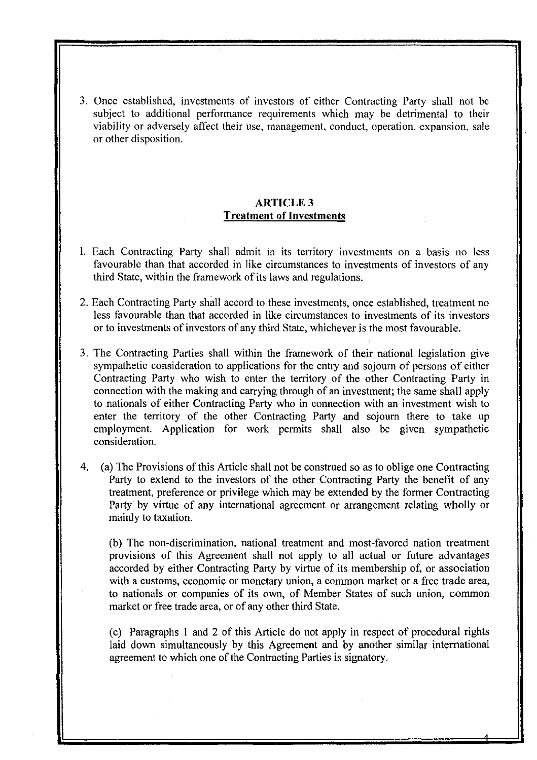3. Once established, investments of investors of either Contracting Party shall not be subject to additional performance requirements which may be detrimental to their viability or adversely affect their use, management, conduct, operation, expansion, sale or other disposition.

# ARTICLE 3 **Treatment of Investments**

- I. Each Contracting Party shall admit in its territory investments on a basis no less favourable than that accorded in like circumstances to investments of investors of any third State, within the framework of its laws and regulations.
- 2. Each Contracting Party shall accord to these investments, once established, treatment no less favourable than that accorded in like circumstances to investments of its investors or to investments of investors of any third State, whichever is the most favourable.
- 3. The Contracting Parties shall within the framework of their national legislation give sympathetic consideration to applications for the entry and sojourn of persons of either Contracting Party who wish to enter the territory of the other Contracting Party in connection with the making and carrying through of an investment; the same shall apply to nationals of either Contracting Party who in connection with an investment wish to enter the territory of the other Contracting Party and sojourn there to take up employment. Application for work permits shall also be given sympathetic consideration.
- 4. (a) The Provisions of this Article shall not be construed so as to oblige one Contracting Party to extend to the investors of the other Contracting Party the benefit of any treatment, preference or privilege which may be extended by the former Contracting Party by virtue of any international agreement or arrangement relating wholly or mainly to taxation.

(b) The non-discrimination, national treatment and most-favored nation treatment provisions of this Agreement shall not apply to all actual or future advantages accorded by either Contracting Party by virtue of its membership of, or association with a customs, economic or monetary union, a common market or a free trade area, to nationals or companies of its own, of Member States of such union, common market or free trade area, or of any other third State.

(c) Paragraphs I and 2 of this Article do not apply in respect of procedural rights laid down simultaneously by this Agreement and by another similar international agreement to which one of the Contracting Parties is signatory.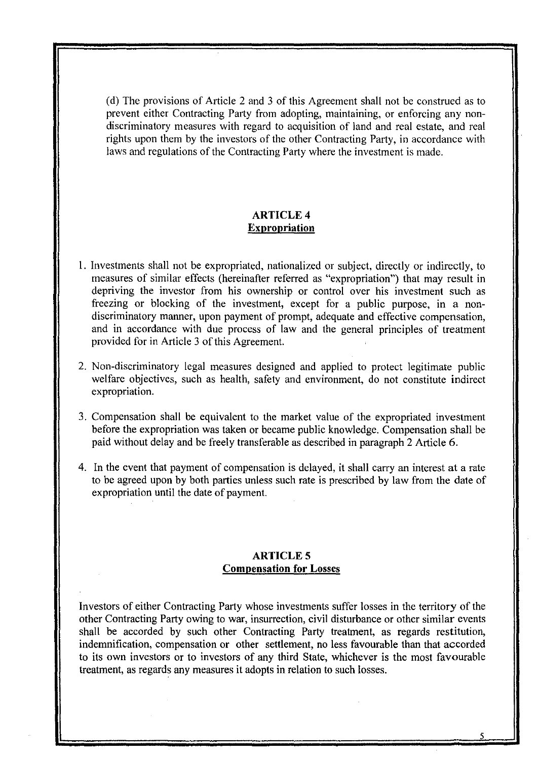(d) The provisions of Article 2 and 3 of this Agreement shall not be construed as to prevent either Contracting Party from adopting, maintaining, or enforcing any nondiscriminatory measures with regard to acquisition of land and real estate, and real rights upon them by the investors of the other Contracting Party, in accordance with laws and regulations of the Contracting Party where the investment is made.

#### ARTICLE 4 **Expropriation**

- I. Investments shall not be expropriated, nationalized or subject, directly or indirectly, to measures of similar effects (hereinafter referred as "expropriation") that may result in depriving the investor from his ownership or control over his investment such as freezing or blocking of the investment, except for a public purpose, in a nondiscriminatory manner, upon payment of prompt, adequate and effective compensation, and in accordance with due process of law and the general principles of treatment provided for in Article 3 of this Agreement.
- 2. Non-discriminatory legal measures designed and applied to protect legitimate public welfare objectives, such as health, safety and environment, do not constitute indirect expropriation.
- 3. Compensation shall be equivalent to the market value of the expropriated investment before the expropriation was taken or became public knowledge. Compensation shall be paid without delay and be freely transferable as described in paragraph 2 Article 6.
- 4. In the event that payment of compensation is delayed, it shall carry an interest at a rate to be agreed upon by both parties unless such rate is prescribed by law from the date of expropriation until the date of payment.

# **ARTICLES Compensation for Losses**

Investors of either Contracting Party whose investments suffer losses in the territory of the other Contracting Party owing to war, insurrection, civil disturbance or other similar events shall be accorded by such other Contracting Party treatment, as regards restitution, indemnification, compensation or other settlement, no less favourable than that accorded to its own investors or to investors of any third State, whichever is the most favourable treatment, as regards any measures it adopts in relation to such losses.

5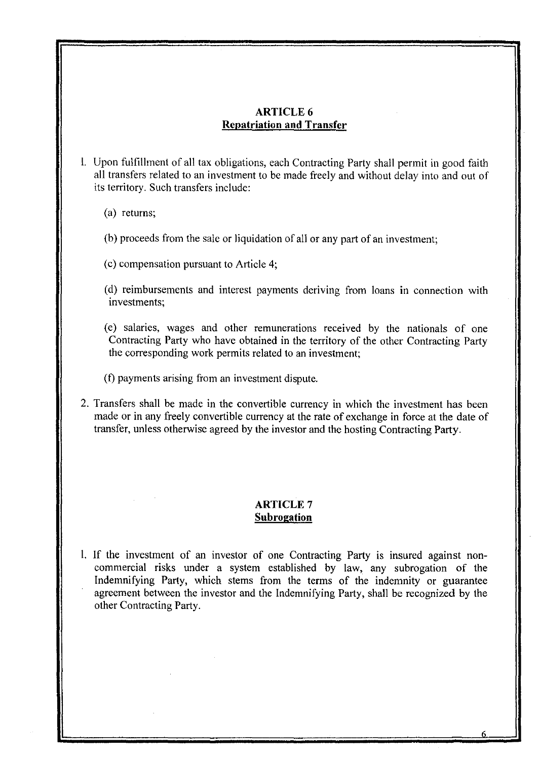# ARTICLE 6 **Repatriation and Transfer**

- l. Upon fulfillment of all tax obligations, each Contracting Party shall permit in good faith all transfers related to an investment to be made freely and without delay into and out of its territory. Such transfers include:
	- (a) returns;
	- (b) proceeds from the sale or liquidation of all or any part of an investment;
	- (c) compensation pursuant to Article 4;
	- (d) reimbursements and interest payments deriving from loans **in** connection with investments;
	- (e) salaries, wages and other remunerations received by the nationals of one Contracting Party who have obtained in the territory of the other Contracting Party the corresponding work permits related to an investment;
	- (f) payments arising from an investment dispute.
- 2. Transfers shall be made in the convertible currency in which the investment has been made or in any freely convertible currency at the rate of exchange in force at the date of transfer, unless otherwise agreed by the investor and the hosting Contracting Party.

#### ARTICLE 7 **Subrogation**

l. If the investment of an investor of one Contracting Party is insured against noncommercial risks under a system established by law, any subrogation of the Indemnifying Party, which stems from the terms of the indemnity or guarantee agreement between the investor and the Indemnifying Party, shall be recognized by the other Contracting Party.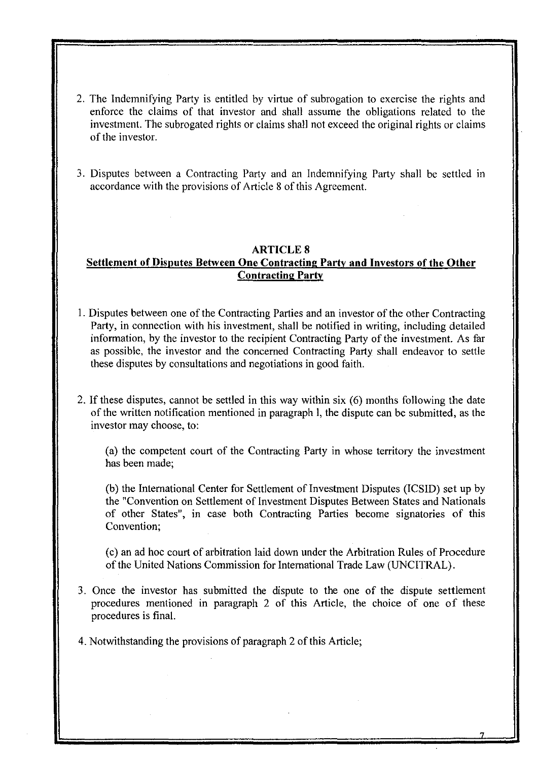- 2. The Indemnifying Party is entitled by virtue of subrogation to exercise the rights and enforce the claims of that investor and shall assume the obligations related to the investment. The subrogated rights or claims shall not exceed the original rights or claims of the investor.
- 3. Disputes between a Contracting Party and an Indemnifying Party shall be settled in accordance with the provisions of Article 8 of this Agreement.

 $\bar{L}$ 

#### **ARTICLES**

# **Settlement of Disputes Between One Contracting Party and Investors of the Other Contracting Party**

- I. Disputes between one of the Contracting Parties and an investor of the other Contracting Party, in connection with his investment, shall be notified in writing, including detailed information, by the investor to the recipient Contracting Party of the investment. As far as possible, the investor and the concerned Contracting Party shall endeavor to settle these disputes by consultations and negotiations in good faith.
- 2. If these disputes, cannot be settled in this way within six (6) months following the date of the written notification mentioned in paragraph I, the dispute can be submitted, as the investor may choose, to:

(a) the competent court of the Contracting Party in whose territory the investment has been made;

(b) the International Center for Settlement of Investment Disputes (ICSID) set up by the "Convention on Settlement of Investment Disputes Between States and Nationals of other States", in case both Contracting Parties become signatories of this Convention;

( c) an ad hoc court of arbitration laid down under the Arbitration Rules of Procedure of the United Nations Commission for International Trade Law (UNClTRAL).

- 3. Once the investor has submitted the dispute to the one of the dispute settlement procedures mentioned in paragraph 2 of this Article, the choice of one of these procedures is final.
- 4. Notwithstanding the provisions of paragraph 2 of this Article;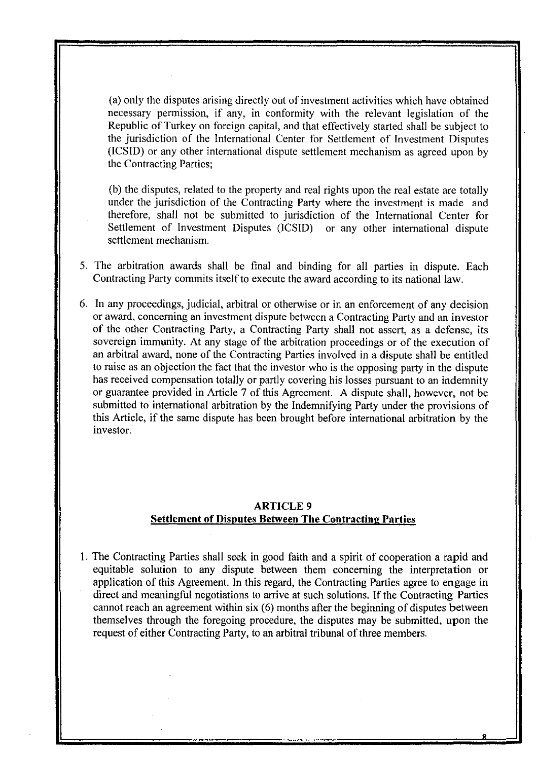(a) only the disputes arising directly out of investment activities which have obtained necessary permission, if any, in conformity with the relevant legislation of the Republic of Turkey on foreign capital, and that effectively started shall be subject to the jurisdiction of the International Center for Settlement of Investment Disputes (ICSIO) or any other international dispute settlement mechanism as agreed upon by the Contracting Parties;

(b) the disputes, related to the property and real rights upon the real estate are totally under the jurisdiction of the Contracting Party where the investment is made and therefore, shall not be submitted to jurisdiction of the International Center for Settlement of Investment Disputes (lCSIO) or any other international dispute settlement mechanism.

- 5. The arbitration awards shall be final and binding for all parties in dispute. Each Contracting Party commits itself to execute the award according to its national law.
- 6. In any proceedings, judicial, arbitral or otherwise or in an enforcement of any decision or award, concerning an investment dispute between a Contracting Party and an investor of the other Contracting Party, a Contracting Party shall not assert, as a defense, its sovereign immunity. At any stage of the arbitration proceedings or of the execution of an arbitral award, none of the Contracting Parties involved in a dispute shall be entitled to raise as an objection the fact that the investor who is the opposing party in the dispute has received compensation totally or partly covering his losses pursuant to an indemnity or guarantee provided in Article 7 of this Agreement. A dispute shall, however, not be submitted to international arbitration by the Indemnifying Party under the provisions of this Article, if the same dispute has been brought before international arbitration by the investor.

# ARTICLE 9 **Settlement of Disputes Between The Contracting Parties**

I. The Contracting Parties shall seek in good faith and a spirit of cooperation a rapid and equitable solution to any dispute between them concerning the interpretation or application of this Agreement. In this regard, the Contracting Parties agree to engage in direct and meaningful negotiations to arrive at such solutions. If the Contracting Parties cannot reach an agreement within six (6) months after the beginning of disputes between themselves through the foregoing procedure, the disputes may be submitted, upon the request of either Contracting Party, to an arbitral tribunal of three members.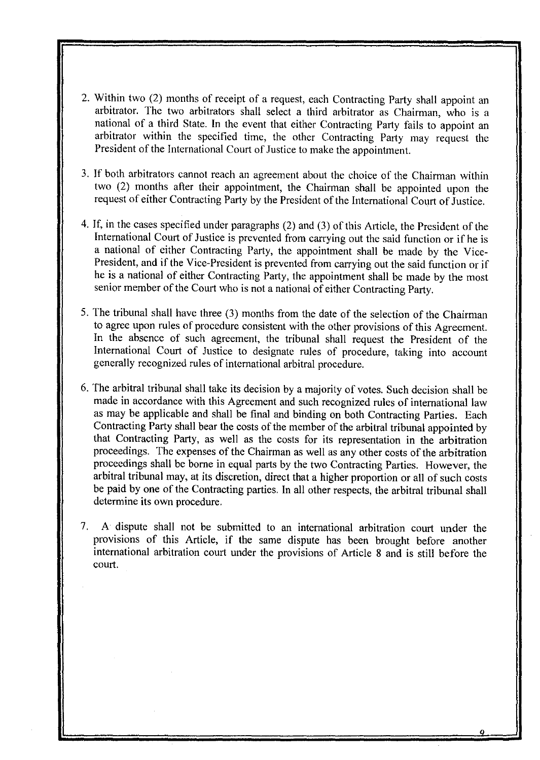- 2. Within two (2) months of receipt of a request, each Contracting Party shall appoint an arbitrator. The two arbitrators shall select a third arbitrator as Chairman, who is a national of a third State. In the event that either Contracting Party fails to appoint an arbitrator within the specified time, the other Contracting Party may request the President of the International Court of Justice to make the appointment.
- 3. If both arbitrators cannot reach an agreement about the choice of the Chairman within two (2) months after their appointment, the Chairman shall be appointed upon the request of either Contracting Party by the President of the International Court of Justice.
- 4. If, in the cases specified under paragraphs (2) and (3) of this Article, the President of the International Court of Justice is prevented from carrying out the said function or if he is a national of either Contracting Party, the appointment shall be made by the Vice-President, and if the Vice-President is prevented from carrying out the said function or if he is a national of either Contracting Party, the appointment shall be made by the most senior member of the Court who is not a national of either Contracting Party.
- 5. The tribunal shall have three (3) months from the date of the selection of the Chairman to agree upon rules of procedure consistent with the other provisions of this Agreement. In the absence of such agreement, the tribunal shall request the President of the International Court of Justice to designate rules of procedure, taking into account generally recognized rules of international arbitral procedure.
- 6. The arbitral tribunal shall take its decision by a majority of votes. Such decision shall be made in accordance with this Agreement and such recognized rules of international law as may be applicable and shall be final and binding on both Contracting Parties. Each Contracting Party shall bear the costs of the member of the arbitral tribunal appointed by that Contracting Party, as well as the costs for its representation in the arbitration proceedings. The expenses of the Chairman as well as any other costs of the arbitration proceedings shall be borne in equal parts by the two Contracting Parties. However, the arbitral tribunal may, at its discretion, direct that a higher proportion or all of such costs be paid by one of the Contracting parties. In all other respects, the arbitral tribunal shall determine its own procedure.
- 7. A dispute shall not be submitted to an international arbitration court under the provisions of this Article, if the same dispute has been brought before another international arbitration court under the provisions of Article 8 and is still before the court.

o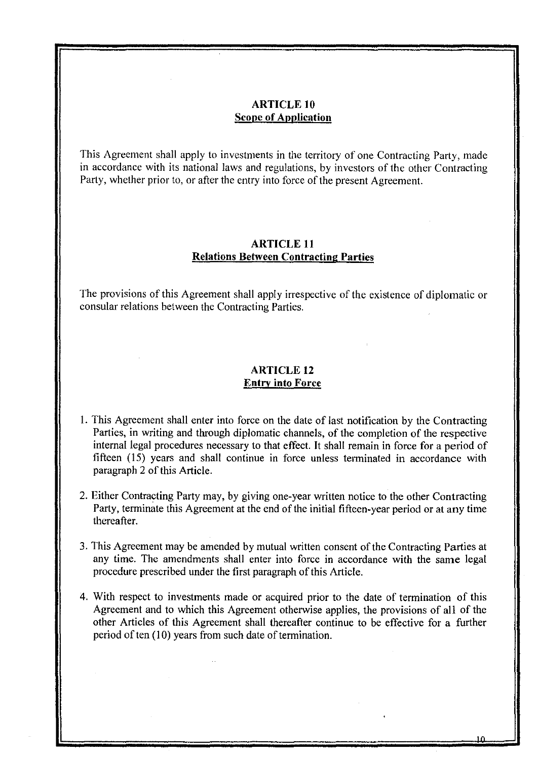# **ARTICLE 10 Scope of Application**

This Agreement shall apply to investments in the territory of one Contracting Party, made in accordance with its national laws and regulations, by investors of the other Contracting Party, whether prior to, or after the entry into force of the present Agreement.

# **ARTICLE 11 Relations Between Contracting Parties**

The provisions of this Agreement shall apply irrespective of the existence of diplomatic or consular relations between the Contracting Parties.

#### **ARTICLE 12 Entry into Force**

- 1. This Agreement shall enter into force on the date oflast notification by the Contracting Parties, in writing and through diplomatic channels, of the completion of the respective internal legal procedures necessary to that effect. It shall remain in force for a period of fifteen (15) years and shall continue **in** force unless terminated in accordance with paragraph 2 of this Article.
- 2. Either Contracting Party may, by giving one-year written notice to the other Contracting Party, terminate this Agreement at the end of the initial fifteen-year period or at any time thereafter.
- 3. This Agreement may be amended by mutual written consent of the Contracting Parties at any time. The amendments shall enter into force in accordance with the same legal procedure prescribed under the first paragraph of this Article.
- 4. With respect to investments made or acquired prior to the date of termination of this Agreement and to which this Agreement otherwise applies, the provisions of all of the other Articles of this Agreement shall thereafter continue to be effective for a further period of ten (10) years from such date of termination.